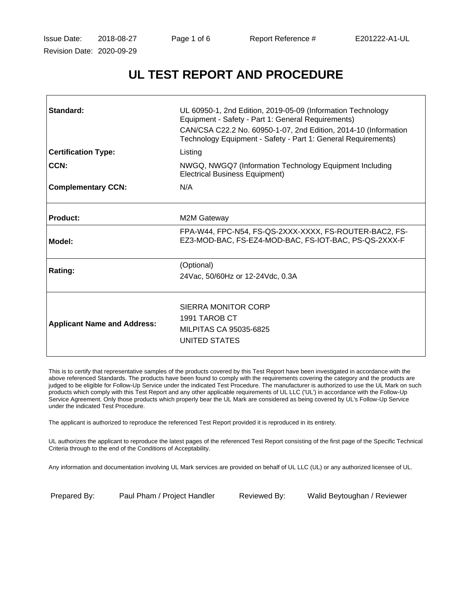# **UL TEST REPORT AND PROCEDURE**

| Standard:                          | UL 60950-1, 2nd Edition, 2019-05-09 (Information Technology<br>Equipment - Safety - Part 1: General Requirements)<br>CAN/CSA C22.2 No. 60950-1-07, 2nd Edition, 2014-10 (Information<br>Technology Equipment - Safety - Part 1: General Requirements) |  |
|------------------------------------|-------------------------------------------------------------------------------------------------------------------------------------------------------------------------------------------------------------------------------------------------------|--|
| <b>Certification Type:</b>         | Listing                                                                                                                                                                                                                                               |  |
| CCN:                               | NWGQ, NWGQ7 (Information Technology Equipment Including<br><b>Electrical Business Equipment)</b>                                                                                                                                                      |  |
| <b>Complementary CCN:</b>          | N/A                                                                                                                                                                                                                                                   |  |
| <b>Product:</b>                    | M2M Gateway                                                                                                                                                                                                                                           |  |
| Model:                             | FPA-W44, FPC-N54, FS-QS-2XXX-XXXX, FS-ROUTER-BAC2, FS-<br>EZ3-MOD-BAC, FS-EZ4-MOD-BAC, FS-IOT-BAC, PS-QS-2XXX-F                                                                                                                                       |  |
| Rating:                            | (Optional)<br>24 Vac. 50/60 Hz or 12-24 Vdc. 0.3 A                                                                                                                                                                                                    |  |
| <b>Applicant Name and Address:</b> | SIERRA MONITOR CORP<br>1991 TAROB CT<br>MILPITAS CA 95035-6825<br>UNITED STATES                                                                                                                                                                       |  |

This is to certify that representative samples of the products covered by this Test Report have been investigated in accordance with the above referenced Standards. The products have been found to comply with the requirements covering the category and the products are judged to be eligible for Follow-Up Service under the indicated Test Procedure. The manufacturer is authorized to use the UL Mark on such products which comply with this Test Report and any other applicable requirements of UL LLC ('UL') in accordance with the Follow-Up Service Agreement. Only those products which properly bear the UL Mark are considered as being covered by UL's Follow-Up Service under the indicated Test Procedure.

The applicant is authorized to reproduce the referenced Test Report provided it is reproduced in its entirety.

UL authorizes the applicant to reproduce the latest pages of the referenced Test Report consisting of the first page of the Specific Technical Criteria through to the end of the Conditions of Acceptability.

Any information and documentation involving UL Mark services are provided on behalf of UL LLC (UL) or any authorized licensee of UL.

Prepared By: Paul Pham / Project Handler Reviewed By: Walid Beytoughan / Reviewer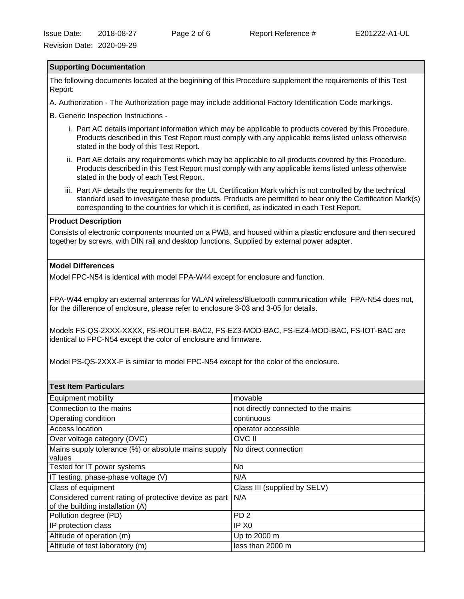## **Supporting Documentation**

The following documents located at the beginning of this Procedure supplement the requirements of this Test Report:

A. Authorization - The Authorization page may include additional Factory Identification Code markings.

B. Generic Inspection Instructions -

- i. Part AC details important information which may be applicable to products covered by this Procedure. Products described in this Test Report must comply with any applicable items listed unless otherwise stated in the body of this Test Report.
- ii. Part AE details any requirements which may be applicable to all products covered by this Procedure. Products described in this Test Report must comply with any applicable items listed unless otherwise stated in the body of each Test Report.
- iii. Part AF details the requirements for the UL Certification Mark which is not controlled by the technical standard used to investigate these products. Products are permitted to bear only the Certification Mark(s) corresponding to the countries for which it is certified, as indicated in each Test Report.

#### **Product Description**

Consists of electronic components mounted on a PWB, and housed within a plastic enclosure and then secured together by screws, with DIN rail and desktop functions. Supplied by external power adapter.

## **Model Differences**

Model FPC-N54 is identical with model FPA-W44 except for enclosure and function.

FPA-W44 employ an external antennas for WLAN wireless/Bluetooth communication while FPA-N54 does not, for the difference of enclosure, please refer to enclosure 3-03 and 3-05 for details.

Models FS-QS-2XXX-XXXX, FS-ROUTER-BAC2, FS-EZ3-MOD-BAC, FS-EZ4-MOD-BAC, FS-IOT-BAC are identical to FPC-N54 except the color of enclosure and firmware.

Model PS-QS-2XXX-F is similar to model FPC-N54 except for the color of the enclosure.

| <b>Test Item Particulars</b>                                                               |                                     |
|--------------------------------------------------------------------------------------------|-------------------------------------|
| Equipment mobility                                                                         | movable                             |
| Connection to the mains                                                                    | not directly connected to the mains |
| Operating condition                                                                        | continuous                          |
| Access location                                                                            | operator accessible                 |
| Over voltage category (OVC)                                                                | OVC II                              |
| Mains supply tolerance (%) or absolute mains supply                                        | No direct connection                |
| values                                                                                     |                                     |
| Tested for IT power systems                                                                | N <sub>o</sub>                      |
| IT testing, phase-phase voltage (V)                                                        | N/A                                 |
| Class of equipment                                                                         | Class III (supplied by SELV)        |
| Considered current rating of protective device as part<br>of the building installation (A) | N/A                                 |
| Pollution degree (PD)                                                                      | PD <sub>2</sub>                     |
| IP protection class                                                                        | IP X <sub>0</sub>                   |
| Altitude of operation (m)                                                                  | Up to 2000 m                        |
| Altitude of test laboratory (m)                                                            | less than 2000 m                    |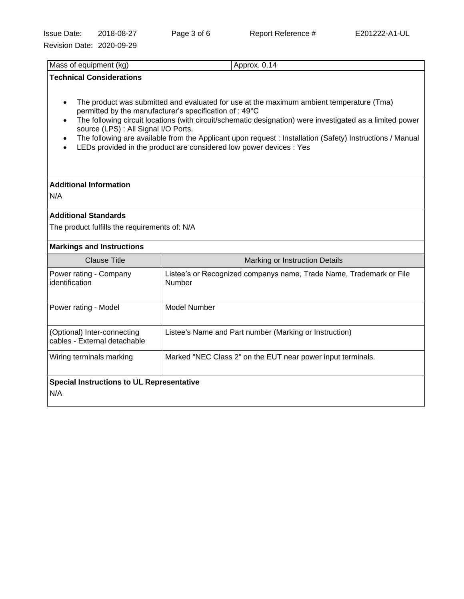| Mass of equipment (kg)                                                                                                                                                                                                                                                                                                                                                                                                                                                                                    | Approx. 0.14                                                                  |  |  |  |
|-----------------------------------------------------------------------------------------------------------------------------------------------------------------------------------------------------------------------------------------------------------------------------------------------------------------------------------------------------------------------------------------------------------------------------------------------------------------------------------------------------------|-------------------------------------------------------------------------------|--|--|--|
| <b>Technical Considerations</b>                                                                                                                                                                                                                                                                                                                                                                                                                                                                           |                                                                               |  |  |  |
| The product was submitted and evaluated for use at the maximum ambient temperature (Tma)<br>permitted by the manufacturer's specification of : 49°C<br>The following circuit locations (with circuit/schematic designation) were investigated as a limited power<br>source (LPS) : All Signal I/O Ports.<br>The following are available from the Applicant upon request : Installation (Safety) Instructions / Manual<br>$\bullet$<br>LEDs provided in the product are considered low power devices : Yes |                                                                               |  |  |  |
| <b>Additional Information</b><br>N/A                                                                                                                                                                                                                                                                                                                                                                                                                                                                      |                                                                               |  |  |  |
| <b>Additional Standards</b>                                                                                                                                                                                                                                                                                                                                                                                                                                                                               |                                                                               |  |  |  |
| The product fulfills the requirements of: N/A                                                                                                                                                                                                                                                                                                                                                                                                                                                             |                                                                               |  |  |  |
| <b>Markings and Instructions</b>                                                                                                                                                                                                                                                                                                                                                                                                                                                                          |                                                                               |  |  |  |
| <b>Clause Title</b>                                                                                                                                                                                                                                                                                                                                                                                                                                                                                       | Marking or Instruction Details                                                |  |  |  |
| Power rating - Company<br>identification                                                                                                                                                                                                                                                                                                                                                                                                                                                                  | Listee's or Recognized companys name, Trade Name, Trademark or File<br>Number |  |  |  |
| Power rating - Model                                                                                                                                                                                                                                                                                                                                                                                                                                                                                      | <b>Model Number</b>                                                           |  |  |  |
| (Optional) Inter-connecting<br>cables - External detachable                                                                                                                                                                                                                                                                                                                                                                                                                                               | Listee's Name and Part number (Marking or Instruction)                        |  |  |  |
| Wiring terminals marking                                                                                                                                                                                                                                                                                                                                                                                                                                                                                  | Marked "NEC Class 2" on the EUT near power input terminals.                   |  |  |  |
| <b>Special Instructions to UL Representative</b><br>N/A                                                                                                                                                                                                                                                                                                                                                                                                                                                   |                                                                               |  |  |  |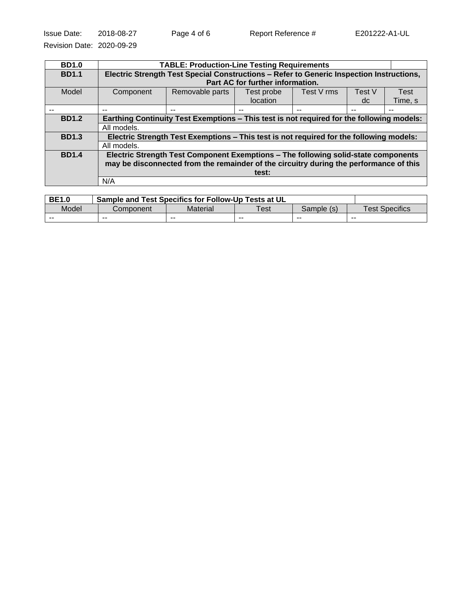| <b>BD1.0</b> | <b>TABLE: Production-Line Testing Requirements</b>                                        |                                                                                          |                                  |            |        |             |
|--------------|-------------------------------------------------------------------------------------------|------------------------------------------------------------------------------------------|----------------------------------|------------|--------|-------------|
| <b>BD1.1</b> |                                                                                           | Electric Strength Test Special Constructions - Refer to Generic Inspection Instructions, |                                  |            |        |             |
|              |                                                                                           |                                                                                          | Part AC for further information. |            |        |             |
| Model        | Component                                                                                 | Removable parts                                                                          | Test probe                       | Test V rms | Test V | <b>Test</b> |
|              |                                                                                           |                                                                                          | location                         |            | dc     | Time, s     |
|              | --                                                                                        | --                                                                                       | --                               | --         | --     | --          |
| <b>BD1.2</b> | Earthing Continuity Test Exemptions – This test is not required for the following models: |                                                                                          |                                  |            |        |             |
|              | All models.                                                                               |                                                                                          |                                  |            |        |             |
| <b>BD1.3</b> | Electric Strength Test Exemptions - This test is not required for the following models:   |                                                                                          |                                  |            |        |             |
|              | All models.                                                                               |                                                                                          |                                  |            |        |             |
| <b>BD1.4</b> | Electric Strength Test Component Exemptions - The following solid-state components        |                                                                                          |                                  |            |        |             |
|              | may be disconnected from the remainder of the circuitry during the performance of this    |                                                                                          |                                  |            |        |             |
|              | test:                                                                                     |                                                                                          |                                  |            |        |             |
|              | N/A                                                                                       |                                                                                          |                                  |            |        |             |

| <b>BE1.0</b> | Sample and Test Specifics for Follow-Up Tests at UL |                 |      |               |                       |
|--------------|-----------------------------------------------------|-----------------|------|---------------|-----------------------|
| Model        | Component                                           | <b>Material</b> | Test | Sample<br>(S) | <b>Test Specifics</b> |
| $- -$        | $- -$                                               | $- -$           | --   | $- -$         | $- -$                 |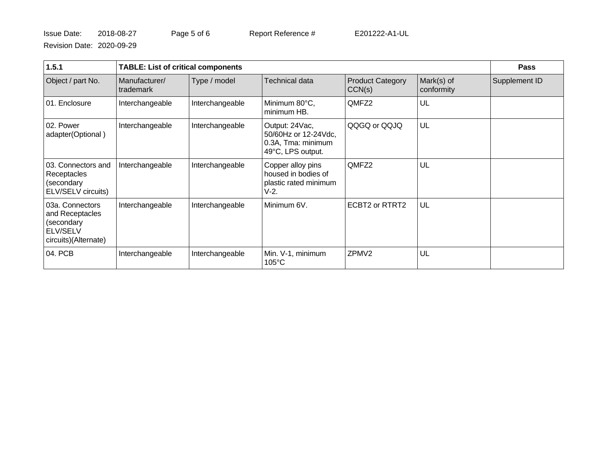| <b>Issue Date:</b>        | 2018-08-27 | Page 5 of 6 | <b>Report Refe</b> |
|---------------------------|------------|-------------|--------------------|
| Revision Date: 2020-09-29 |            |             |                    |

| 1.5.1                                                                                       | <b>TABLE: List of critical components</b> |                 |                                                                                   | <b>Pass</b>                       |                          |               |
|---------------------------------------------------------------------------------------------|-------------------------------------------|-----------------|-----------------------------------------------------------------------------------|-----------------------------------|--------------------------|---------------|
| Object / part No.                                                                           | Manufacturer/<br>I trademark              | Type / model    | Technical data                                                                    | <b>Product Category</b><br>CCN(s) | Mark(s) of<br>conformity | Supplement ID |
| 01. Enclosure                                                                               | Interchangeable                           | Interchangeable | Minimum 80°C,<br>minimum HB.                                                      | QMFZ2                             | UL                       |               |
| 02. Power<br>adapter(Optional)                                                              | Interchangeable                           | Interchangeable | Output: 24Vac,<br>50/60Hz or 12-24Vdc,<br>0.3A, Tma: minimum<br>49°C, LPS output. | QQGQ or QQJQ                      | UL                       |               |
| 03. Connectors and<br>Receptacles<br>(secondary<br>ELV/SELV circuits)                       | Interchangeable                           | Interchangeable | Copper alloy pins<br>housed in bodies of<br>plastic rated minimum<br>$V-2.$       | QMFZ2                             | UL                       |               |
| 03a. Connectors<br>and Receptacles<br>(secondary<br><b>ELV/SELV</b><br>circuits)(Alternate) | Interchangeable                           | Interchangeable | Minimum 6V.                                                                       | ECBT2 or RTRT2                    | UL                       |               |
| 04. PCB                                                                                     | Interchangeable                           | Interchangeable | Min. V-1, minimum<br>$105^{\circ}$ C                                              | ZPMV <sub>2</sub>                 | UL                       |               |

 $B = 201222 - A1 - UL$